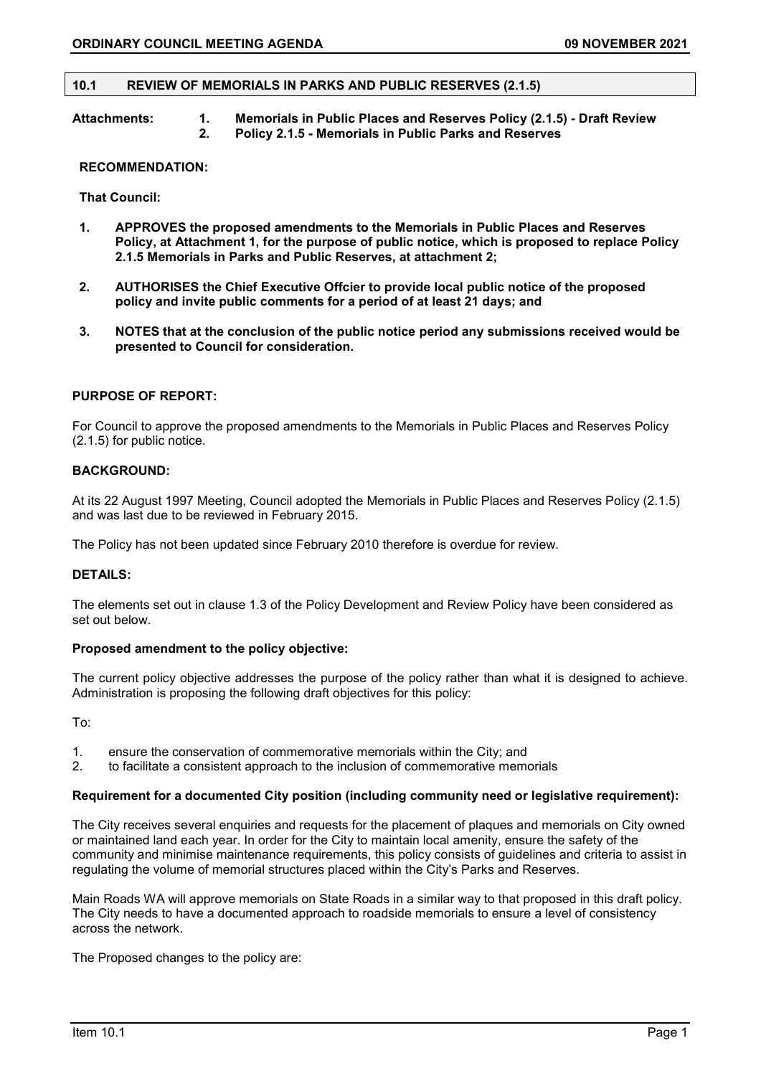### **10.1 REVIEW OF MEMORIALS IN PARKS AND PUBLIC RESERVES (2.1.5)**

**Attachments: 1. Memorials in Public Places and Reserves Policy (2.1.5) - Draft Review 2. Policy 2.1.5 - Memorials in Public Parks and Reserves** 

### **RECOMMENDATION:**

**That Council:**

- **1. APPROVES the proposed amendments to the Memorials in Public Places and Reserves Policy, at Attachment 1, for the purpose of public notice, which is proposed to replace Policy 2.1.5 Memorials in Parks and Public Reserves, at attachment 2;**
- **2. AUTHORISES the Chief Executive Offcier to provide local public notice of the proposed policy and invite public comments for a period of at least 21 days; and**
- **3. NOTES that at the conclusion of the public notice period any submissions received would be presented to Council for consideration.**

# **PURPOSE OF REPORT:**

For Council to approve the proposed amendments to the Memorials in Public Places and Reserves Policy (2.1.5) for public notice.

# **BACKGROUND:**

At its 22 August 1997 Meeting, Council adopted the Memorials in Public Places and Reserves Policy (2.1.5) and was last due to be reviewed in February 2015.

The Policy has not been updated since February 2010 therefore is overdue for review.

## **DETAILS:**

The elements set out in clause 1.3 of the Policy Development and Review Policy have been considered as set out below.

# **Proposed amendment to the policy objective:**

The current policy objective addresses the purpose of the policy rather than what it is designed to achieve. Administration is proposing the following draft objectives for this policy:

To:

- 1. ensure the conservation of commemorative memorials within the City; and 2. to facilitate a consistent approach to the inclusion of commemorative memor
- 2. to facilitate a consistent approach to the inclusion of commemorative memorials

#### **Requirement for a documented City position (including community need or legislative requirement):**

The City receives several enquiries and requests for the placement of plaques and memorials on City owned or maintained land each year. In order for the City to maintain local amenity, ensure the safety of the community and minimise maintenance requirements, this policy consists of guidelines and criteria to assist in regulating the volume of memorial structures placed within the City's Parks and Reserves.

Main Roads WA will approve memorials on State Roads in a similar way to that proposed in this draft policy. The City needs to have a documented approach to roadside memorials to ensure a level of consistency across the network.

The Proposed changes to the policy are: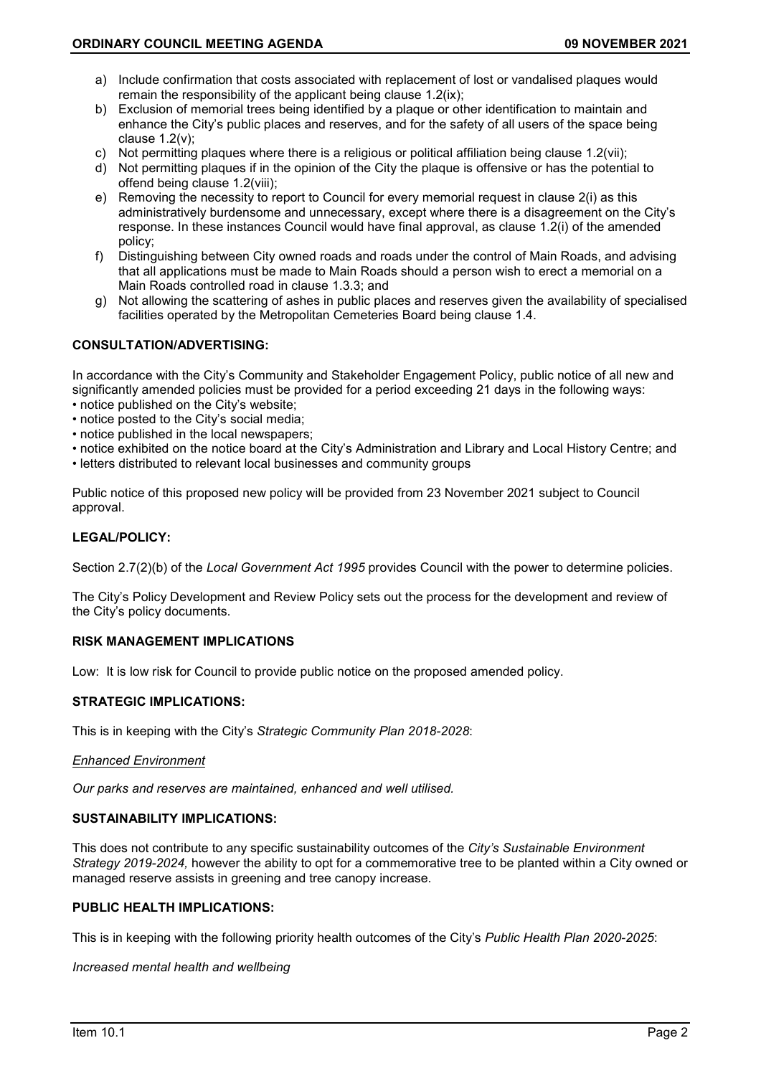- a) Include confirmation that costs associated with replacement of lost or vandalised plaques would remain the responsibility of the applicant being clause 1.2(ix);
- b) Exclusion of memorial trees being identified by a plaque or other identification to maintain and enhance the City's public places and reserves, and for the safety of all users of the space being clause 1.2(v);
- c) Not permitting plaques where there is a religious or political affiliation being clause 1.2(vii);
- d) Not permitting plaques if in the opinion of the City the plaque is offensive or has the potential to offend being clause 1.2(viii);
- e) Removing the necessity to report to Council for every memorial request in clause 2(i) as this administratively burdensome and unnecessary, except where there is a disagreement on the City's response. In these instances Council would have final approval, as clause 1.2(i) of the amended policy;
- f) Distinguishing between City owned roads and roads under the control of Main Roads, and advising that all applications must be made to Main Roads should a person wish to erect a memorial on a Main Roads controlled road in clause 1.3.3; and
- g) Not allowing the scattering of ashes in public places and reserves given the availability of specialised facilities operated by the Metropolitan Cemeteries Board being clause 1.4.

# **CONSULTATION/ADVERTISING:**

In accordance with the City's Community and Stakeholder Engagement Policy, public notice of all new and significantly amended policies must be provided for a period exceeding 21 days in the following ways:

- notice published on the City's website;
- notice posted to the City's social media;
- notice published in the local newspapers;
- notice exhibited on the notice board at the City's Administration and Library and Local History Centre; and
- letters distributed to relevant local businesses and community groups

Public notice of this proposed new policy will be provided from 23 November 2021 subject to Council approval.

# **LEGAL/POLICY:**

Section 2.7(2)(b) of the *Local Government Act 1995* provides Council with the power to determine policies.

The City's Policy Development and Review Policy sets out the process for the development and review of the City's policy documents.

# **RISK MANAGEMENT IMPLICATIONS**

Low: It is low risk for Council to provide public notice on the proposed amended policy.

# **STRATEGIC IMPLICATIONS:**

This is in keeping with the City's *Strategic Community Plan 2018-2028*:

## *Enhanced Environment*

*Our parks and reserves are maintained, enhanced and well utilised.*

# **SUSTAINABILITY IMPLICATIONS:**

This does not contribute to any specific sustainability outcomes of the *City's Sustainable Environment Strategy 2019-2024,* however the ability to opt for a commemorative tree to be planted within a City owned or managed reserve assists in greening and tree canopy increase.

## **PUBLIC HEALTH IMPLICATIONS:**

This is in keeping with the following priority health outcomes of the City's *Public Health Plan 2020-2025*:

## *Increased mental health and wellbeing*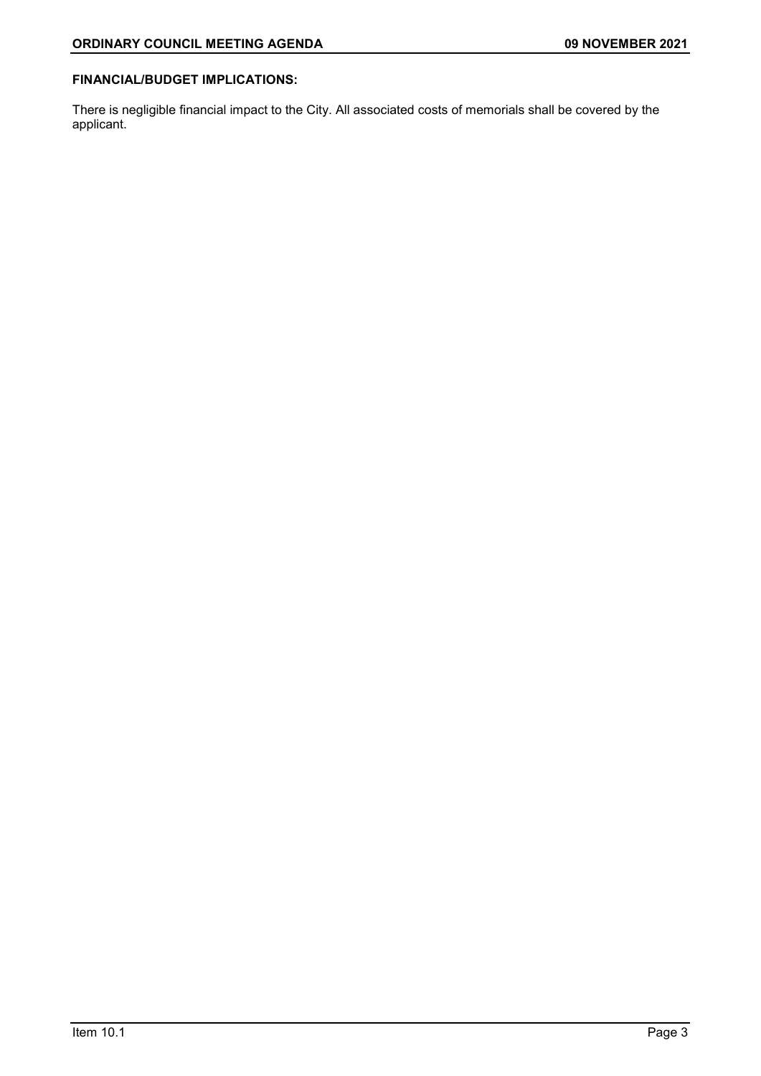# **FINANCIAL/BUDGET IMPLICATIONS:**

There is negligible financial impact to the City. All associated costs of memorials shall be covered by the applicant.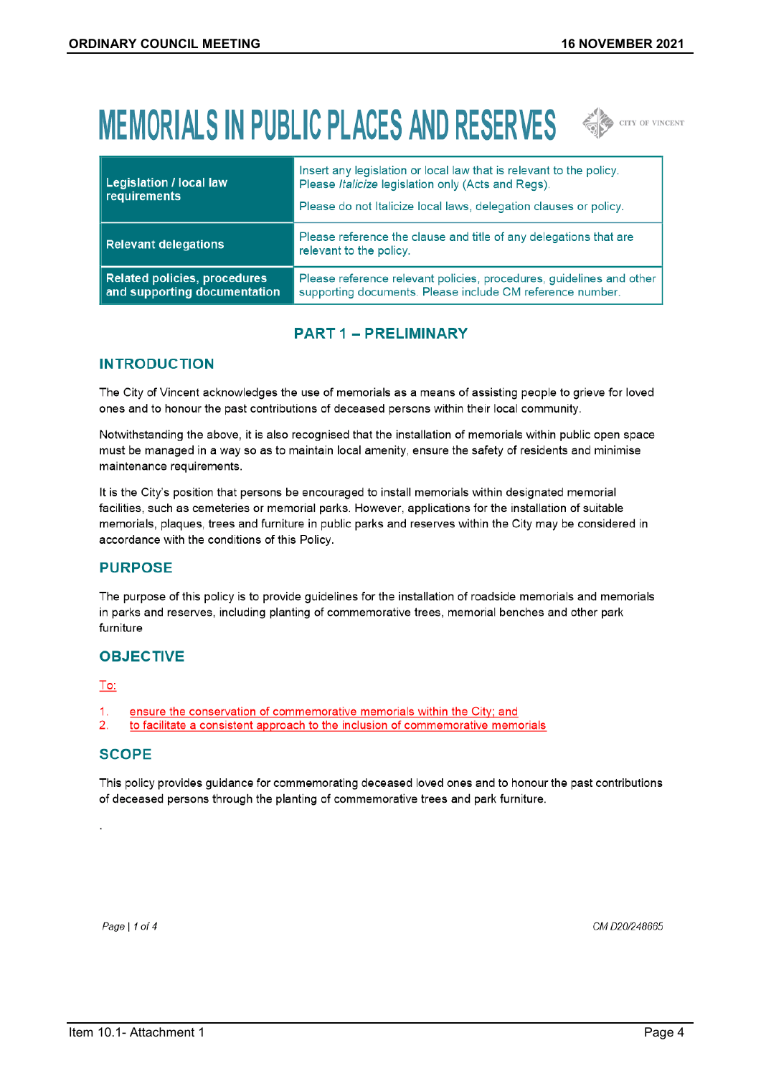# **MEMORIALS IN PUBLIC PLACES AND RESERVES SEE ALL OF VINCENT**



| <b>Legislation / local law</b><br>requirements                      | Insert any legislation or local law that is relevant to the policy.<br>Please Italicize legislation only (Acts and Regs).<br>Please do not Italicize local laws, delegation clauses or policy. |
|---------------------------------------------------------------------|------------------------------------------------------------------------------------------------------------------------------------------------------------------------------------------------|
| <b>Relevant delegations</b>                                         | Please reference the clause and title of any delegations that are<br>relevant to the policy.                                                                                                   |
| <b>Related policies, procedures</b><br>and supporting documentation | Please reference relevant policies, procedures, guidelines and other<br>supporting documents. Please include CM reference number.                                                              |

# **PART 1 - PRELIMINARY**

# **INTRODUCTION**

The City of Vincent acknowledges the use of memorials as a means of assisting people to grieve for loved ones and to honour the past contributions of deceased persons within their local community.

Notwithstanding the above, it is also recognised that the installation of memorials within public open space must be managed in a way so as to maintain local amenity, ensure the safety of residents and minimise maintenance requirements.

It is the City's position that persons be encouraged to install memorials within designated memorial facilities, such as cemeteries or memorial parks. However, applications for the installation of suitable memorials, plaques, trees and furniture in public parks and reserves within the City may be considered in accordance with the conditions of this Policy.

# **PURPOSE**

The purpose of this policy is to provide guidelines for the installation of roadside memorials and memorials in parks and reserves, including planting of commemorative trees, memorial benches and other park furniture

# **OBJECTIVE**

# To:

- $\mathbf{1}$ ensure the conservation of commemorative memorials within the City; and
- $2.$ to facilitate a consistent approach to the inclusion of commemorative memorials

# **SCOPE**

This policy provides guidance for commemorating deceased loved ones and to honour the past contributions of deceased persons through the planting of commemorative trees and park furniture.

Page | 1 of 4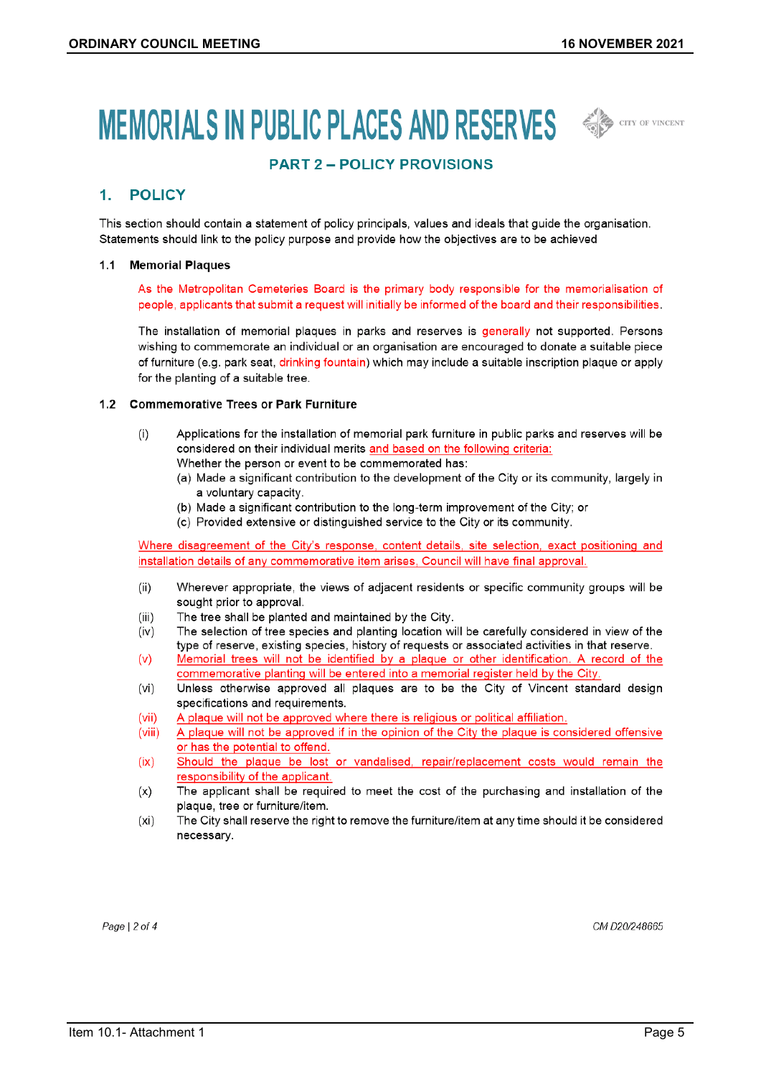# MEMORIALS IN PUBLIC PLACES AND RESERVES  $\iff$



# **PART 2 - POLICY PROVISIONS**

#### **POLICY**  $1<sup>1</sup>$

This section should contain a statement of policy principals, values and ideals that guide the organisation. Statements should link to the policy purpose and provide how the objectives are to be achieved

#### 1.1 Memorial Plaques

As the Metropolitan Cemeteries Board is the primary body responsible for the memorialisation of people, applicants that submit a request will initially be informed of the board and their responsibilities.

The installation of memorial plaques in parks and reserves is generally not supported. Persons wishing to commemorate an individual or an organisation are encouraged to donate a suitable piece of furniture (e.g. park seat, drinking fountain) which may include a suitable inscription plaque or apply for the planting of a suitable tree.

## 1.2 Commemorative Trees or Park Furniture

- $(i)$ Applications for the installation of memorial park furniture in public parks and reserves will be considered on their individual merits and based on the following criteria: Whether the person or event to be commemorated has:
	- (a) Made a significant contribution to the development of the City or its community, largely in
		- a voluntary capacity.
		- (b) Made a significant contribution to the long-term improvement of the City; or
		- (c) Provided extensive or distinguished service to the City or its community.

Where disagreement of the City's response, content details, site selection, exact positioning and installation details of any commemorative item arises, Council will have final approval.

- $(ii)$ Wherever appropriate, the views of adjacent residents or specific community groups will be sought prior to approval.
- $(iii)$ The tree shall be planted and maintained by the City.
- $(iv)$ The selection of tree species and planting location will be carefully considered in view of the type of reserve, existing species, history of requests or associated activities in that reserve.
- $(v)$ Memorial trees will not be identified by a plaque or other identification. A record of the commemorative planting will be entered into a memorial register held by the City.
- $(vi)$ Unless otherwise approved all plaques are to be the City of Vincent standard design specifications and requirements.
- $(vii)$ A plaque will not be approved where there is religious or political affiliation.
- A plaque will not be approved if in the opinion of the City the plaque is considered offensive  $(viii)$ or has the potential to offend.
- $(ix)$ Should the plaque be lost or vandalised, repair/replacement costs would remain the responsibility of the applicant.
- The applicant shall be required to meet the cost of the purchasing and installation of the  $(x)$ plaque, tree or furniture/item.
- $(x<sub>i</sub>)$ The City shall reserve the right to remove the furniture/item at any time should it be considered necessary.

Page  $|2$  of 4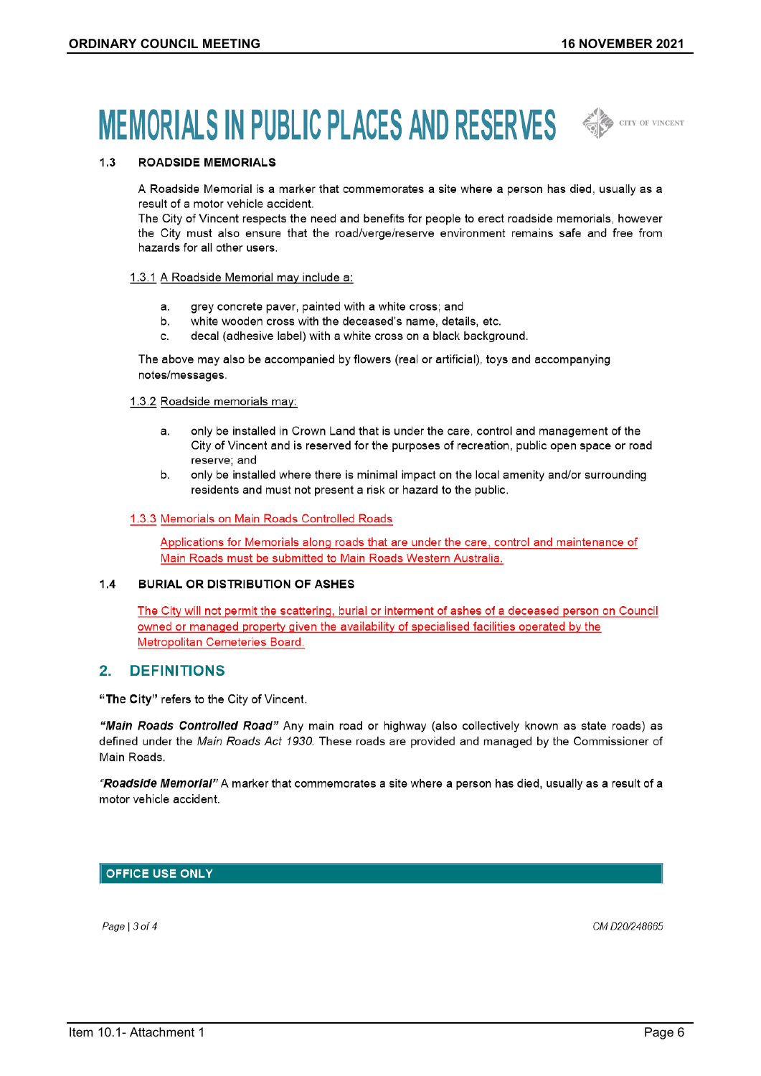# **MEMORIALS IN PUBLIC PLACES AND RESERVES SEE ALL CONVERTS**



#### **ROADSIDE MEMORIALS**  $1.3$

A Roadside Memorial is a marker that commemorates a site where a person has died, usually as a result of a motor vehicle accident.

The City of Vincent respects the need and benefits for people to erect roadside memorials, however the City must also ensure that the road/verge/reserve environment remains safe and free from hazards for all other users.

#### 1.3.1 A Roadside Memorial may include a:

- grey concrete paver, painted with a white cross; and  $a<sub>1</sub>$
- b. white wooden cross with the deceased's name, details, etc.
- decal (adhesive label) with a white cross on a black background.  $\mathbf{c}$ .

The above may also be accompanied by flowers (real or artificial), toys and accompanying notes/messages.

#### 1.3.2 Roadside memorials may:

- only be installed in Crown Land that is under the care, control and management of the  $a<sub>1</sub>$ City of Vincent and is reserved for the purposes of recreation, public open space or road reserve; and
- $h$ only be installed where there is minimal impact on the local amenity and/or surrounding residents and must not present a risk or hazard to the public.

#### 1.3.3 Memorials on Main Roads Controlled Roads

Applications for Memorials along roads that are under the care, control and maintenance of Main Roads must be submitted to Main Roads Western Australia.

#### $1.4$ **BURIAL OR DISTRIBUTION OF ASHES**

The City will not permit the scattering, burial or interment of ashes of a deceased person on Council owned or managed property given the availability of specialised facilities operated by the Metropolitan Cemeteries Board.

#### $2<sub>1</sub>$ **DEFINITIONS**

"The City" refers to the City of Vincent.

"Main Roads Controlled Road" Any main road or highway (also collectively known as state roads) as defined under the Main Roads Act 1930. These roads are provided and managed by the Commissioner of Main Roads.

"Roadside Memorial" A marker that commemorates a site where a person has died, usually as a result of a motor vehicle accident.

# **OFFICE USE ONLY**

Page  $|3$  of 4